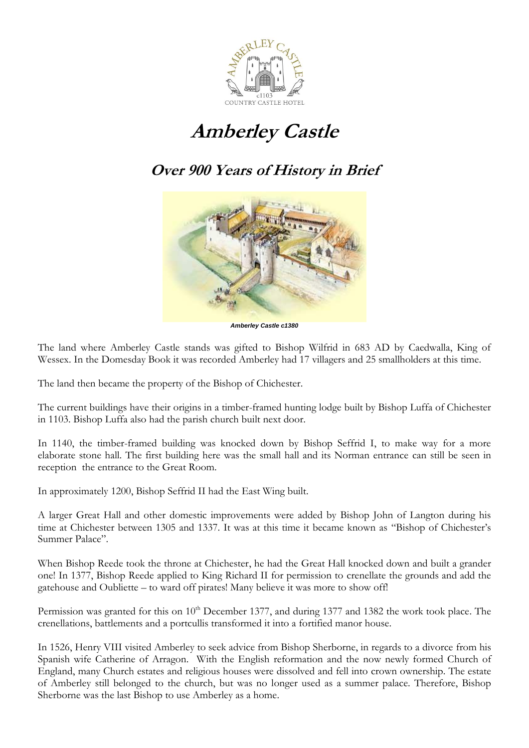

## **Amberley Castle**

## **Over 900 Years of History in Brief**



*Amberley Castle c1380*

The land where Amberley Castle stands was gifted to Bishop Wilfrid in 683 AD by Caedwalla, King of Wessex. In the Domesday Book it was recorded Amberley had 17 villagers and 25 smallholders at this time.

The land then became the property of the Bishop of Chichester.

The current buildings have their origins in a timber-framed hunting lodge built by Bishop Luffa of Chichester in 1103. Bishop Luffa also had the parish church built next door.

In 1140, the timber-framed building was knocked down by Bishop Seffrid I, to make way for a more elaborate stone hall. The first building here was the small hall and its Norman entrance can still be seen in reception the entrance to the Great Room.

In approximately 1200, Bishop Seffrid II had the East Wing built.

A larger Great Hall and other domestic improvements were added by Bishop John of Langton during his time at Chichester between 1305 and 1337. It was at this time it became known as "Bishop of Chichester's Summer Palace".

When Bishop Reede took the throne at Chichester, he had the Great Hall knocked down and built a grander one! In 1377, Bishop Reede applied to King Richard II for permission to crenellate the grounds and add the gatehouse and Oubliette – to ward off pirates! Many believe it was more to show off!

Permission was granted for this on 10<sup>th</sup> December 1377, and during 1377 and 1382 the work took place. The crenellations, battlements and a portcullis transformed it into a fortified manor house.

In 1526, Henry VIII visited Amberley to seek advice from Bishop Sherborne, in regards to a divorce from his Spanish wife Catherine of Arragon. With the English reformation and the now newly formed Church of England, many Church estates and religious houses were dissolved and fell into crown ownership. The estate of Amberley still belonged to the church, but was no longer used as a summer palace. Therefore, Bishop Sherborne was the last Bishop to use Amberley as a home.